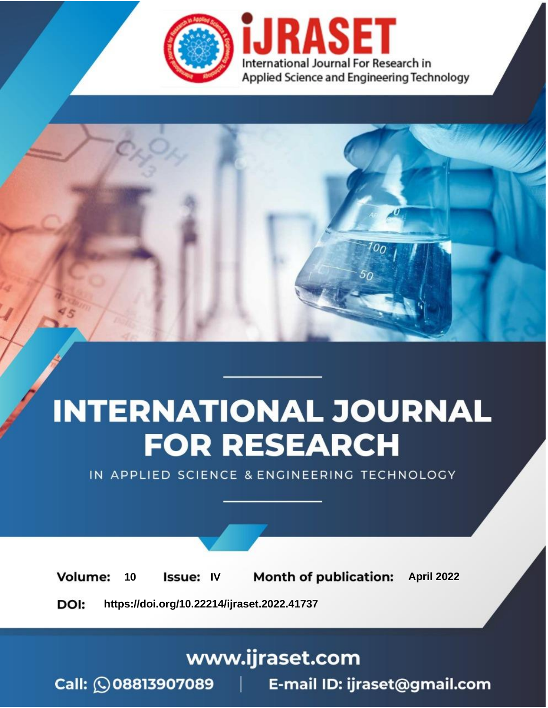

# **INTERNATIONAL JOURNAL FOR RESEARCH**

IN APPLIED SCIENCE & ENGINEERING TECHNOLOGY

10 **Issue: IV Month of publication:** April 2022 **Volume:** 

**https://doi.org/10.22214/ijraset.2022.41737**DOI:

www.ijraset.com

Call: 008813907089 | E-mail ID: ijraset@gmail.com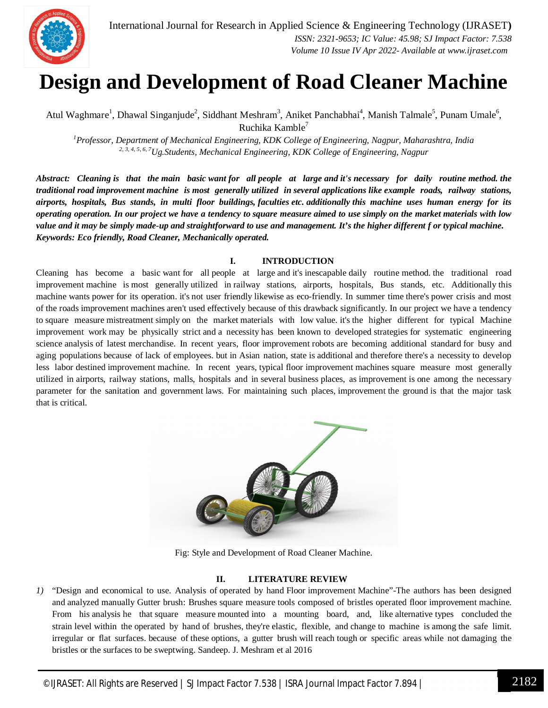

### **Design and Development of Road Cleaner Machine**

Atul Waghmare<sup>1</sup>, Dhawal Singanjude<sup>2</sup>, Siddhant Meshram<sup>3</sup>, Aniket Panchabhai<sup>4</sup>, Manish Talmale<sup>5</sup>, Punam Umale<sup>6</sup>, Ruchika Kamble<sup>7</sup>

*<sup>1</sup>Professor, Department of Mechanical Engineering, KDK College of Engineering, Nagpur, Maharashtra, India 2, 3, 4, 5, 6, 7Ug.Students, Mechanical Engineering, KDK College of Engineering, Nagpur*

*Abstract: Cleaning is that the main basic want for all people at large and it's necessary for daily routine method. the traditional road improvement machine is most generally utilized in several applications like example roads, railway stations, airports, hospitals, Bus stands, in multi floor buildings, faculties etc. additionally this machine uses human energy for its operating operation. In our project we have a tendency to square measure aimed to use simply on the market materials with low value and it may be simply made-up and straightforward to use and management. It's the higher different f or typical machine. Keywords: Eco friendly, Road Cleaner, Mechanically operated.*

#### **I. INTRODUCTION**

Cleaning has become a basic want for all people at large and it's inescapable daily routine method. the traditional road improvement machine is most generally utilized in railway stations, airports, hospitals, Bus stands, etc. Additionally this machine wants power for its operation. it's not user friendly likewise as eco-friendly. In summer time there's power crisis and most of the roads improvement machines aren't used effectively because of this drawback significantly. In our project we have a tendency to square measure mistreatment simply on the market materials with low value. it's the higher different for typical Machine improvement work may be physically strict and a necessity has been known to developed strategies for systematic engineering science analysis of latest merchandise. In recent years, floor improvement robots are becoming additional standard for busy and aging populations because of lack of employees. but in Asian nation, state is additional and therefore there's a necessity to develop less labor destined improvement machine. In recent years, typical floor improvement machines square measure most generally utilized in airports, railway stations, malls, hospitals and in several business places, as improvement is one among the necessary parameter for the sanitation and government laws. For maintaining such places, improvement the ground is that the major task that is critical.



Fig: Style and Development of Road Cleaner Machine.

#### **II. LITERATURE REVIEW**

*1)* "Design and economical to use. Analysis of operated by hand Floor improvement Machine"-The authors has been designed and analyzed manually Gutter brush: Brushes square measure tools composed of bristles operated floor improvement machine. From his analysis he that square measure mounted into a mounting board, and, like alternative types concluded the strain level within the operated by hand of brushes, they're elastic, flexible, and change to machine is among the safe limit. irregular or flat surfaces. because of these options, a gutter brush will reach tough or specific areas while not damaging the bristles or the surfaces to be sweptwing. Sandeep. J. Meshram et al 2016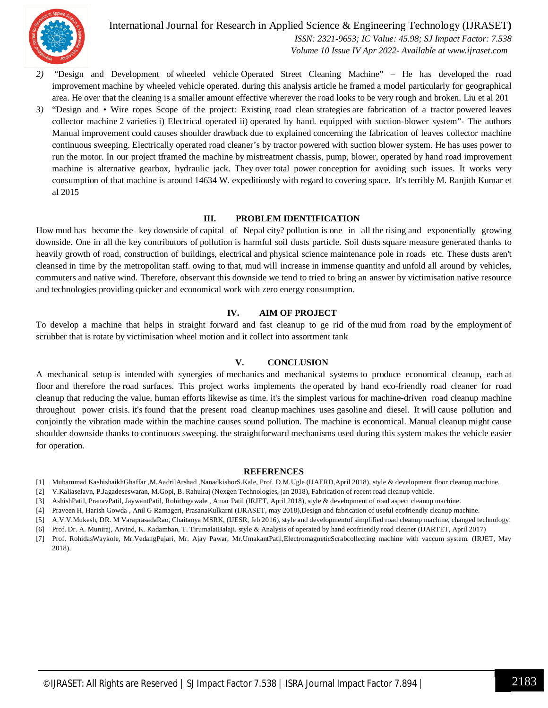

International Journal for Research in Applied Science & Engineering Technology (IJRASET**)**  *ISSN: 2321-9653; IC Value: 45.98; SJ Impact Factor: 7.538*

 *Volume 10 Issue IV Apr 2022- Available at www.ijraset.com*

- *2)* "Design and Development of wheeled vehicle Operated Street Cleaning Machine" He has developed the road improvement machine by wheeled vehicle operated. during this analysis article he framed a model particularly for geographical area. He over that the cleaning is a smaller amount effective wherever the road looks to be very rough and broken. Liu et al 201
- *3)* "Design and Wire ropes Scope of the project: Existing road clean strategies are fabrication of a tractor powered leaves collector machine 2 varieties i) Electrical operated ii) operated by hand. equipped with suction-blower system"- The authors Manual improvement could causes shoulder drawback due to explained concerning the fabrication of leaves collector machine continuous sweeping. Electrically operated road cleaner's by tractor powered with suction blower system. He has uses power to run the motor. In our project tframed the machine by mistreatment chassis, pump, blower, operated by hand road improvement machine is alternative gearbox, hydraulic jack. They over total power conception for avoiding such issues. It works very consumption of that machine is around 14634 W. expeditiously with regard to covering space. It's terribly M. Ranjith Kumar et al 2015

#### **III. PROBLEM IDENTIFICATION**

How mud has become the key downside of capital of Nepal city? pollution is one in all the rising and exponentially growing downside. One in all the key contributors of pollution is harmful soil dusts particle. Soil dusts square measure generated thanks to heavily growth of road, construction of buildings, electrical and physical science maintenance pole in roads etc. These dusts aren't cleansed in time by the metropolitan staff. owing to that, mud will increase in immense quantity and unfold all around by vehicles, commuters and native wind. Therefore, observant this downside we tend to tried to bring an answer by victimisation native resource and technologies providing quicker and economical work with zero energy consumption.

#### **IV. AIM OF PROJECT**

To develop a machine that helps in straight forward and fast cleanup to ge rid of the mud from road by the employment of scrubber that is rotate by victimisation wheel motion and it collect into assortment tank

#### **V. CONCLUSION**

A mechanical setup is intended with synergies of mechanics and mechanical systems to produce economical cleanup, each at floor and therefore the road surfaces. This project works implements the operated by hand eco-friendly road cleaner for road cleanup that reducing the value, human efforts likewise as time. it's the simplest various for machine-driven road cleanup machine throughout power crisis. it's found that the present road cleanup machines uses gasoline and diesel. It will cause pollution and conjointly the vibration made within the machine causes sound pollution. The machine is economical. Manual cleanup might cause shoulder downside thanks to continuous sweeping. the straightforward mechanisms used during this system makes the vehicle easier for operation.

#### **REFERENCES**

- [1] Muhammad KashishaikhGhaffar ,M.AadrilArshad ,NanadkishorS.Kale, Prof. D.M.Ugle (IJAERD,April 2018), style & development floor cleanup machine.
- [2] V.Kaliaselavn, P.Jagadeseswaran, M.Gopi, B. Rahulraj (Nexgen Technologies, jan 2018), Fabrication of recent road cleanup vehicle.
- [3] AshishPatil, PranavPatil, JaywantPatil, RohitIngawale , Amar Patil (IRJET, April 2018), style & development of road aspect cleanup machine.
- [4] Praveen H, Harish Gowda , Anil G Ramageri, PrasanaKulkarni (IJRASET, may 2018),Design and fabrication of useful ecofriendly cleanup machine.
- [5] A.V.V.Mukesh, DR. M VaraprasadaRao, Chaitanya MSRK, (IJESR, feb 2016), style and developmentof simplified road cleanup machine, changed technology.
- [6] Prof. Dr. A. Muniraj, Arvind, K. Kadamban, T. TirumalaiBalaji. style & Analysis of operated by hand ecofriendly road cleaner (IJARTET, April 2017)
- [7] Prof. RohidasWaykole, Mr.VedangPujari, Mr. Ajay Pawar, Mr.UmakantPatil,ElectromagneticScrabcollecting machine with vaccum system. (IRJET, May 2018).